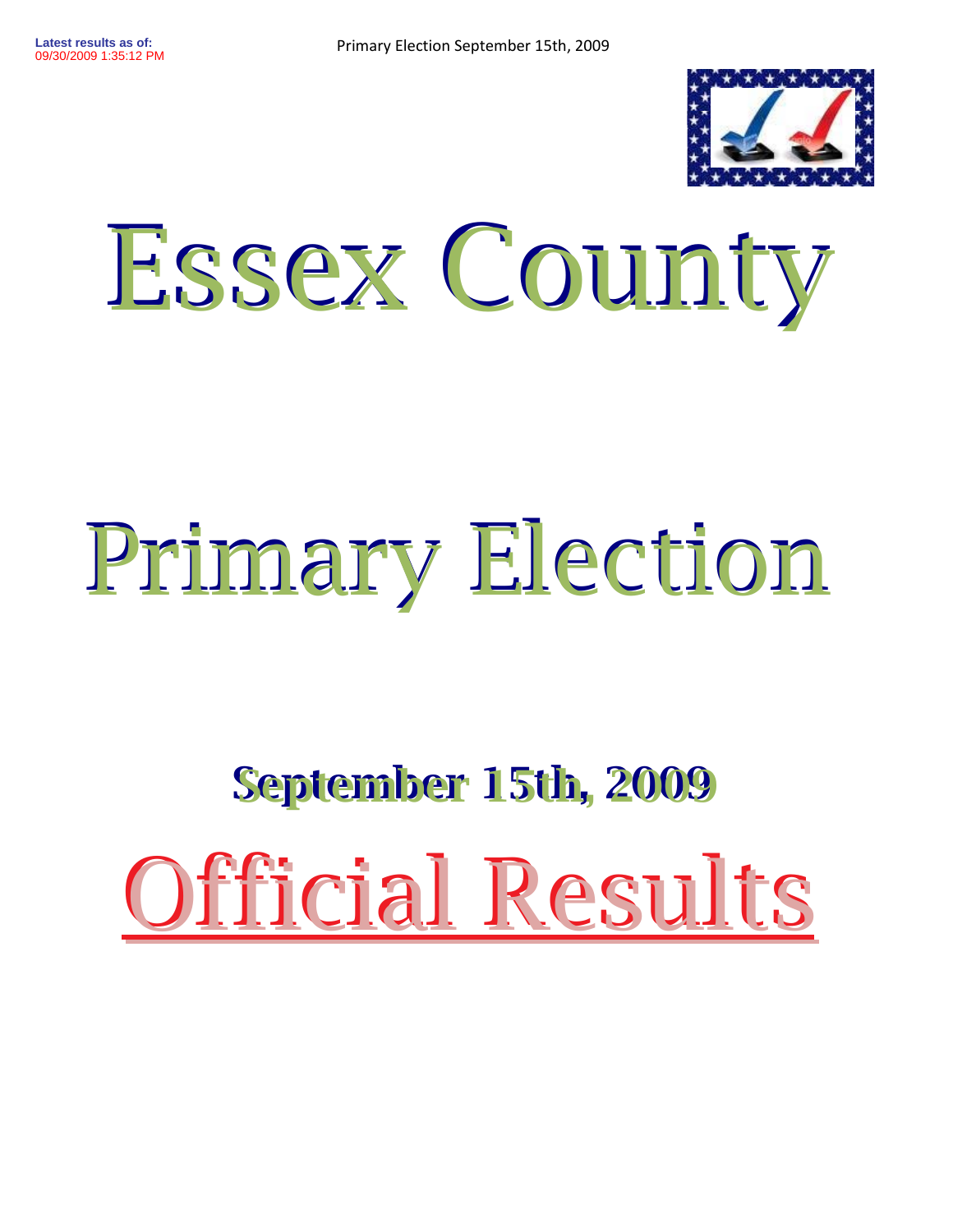

## Essex County Essex County

## Primary Election Primary Election

## September 15th, 2009 September 15th, 2009 Official Results Official Results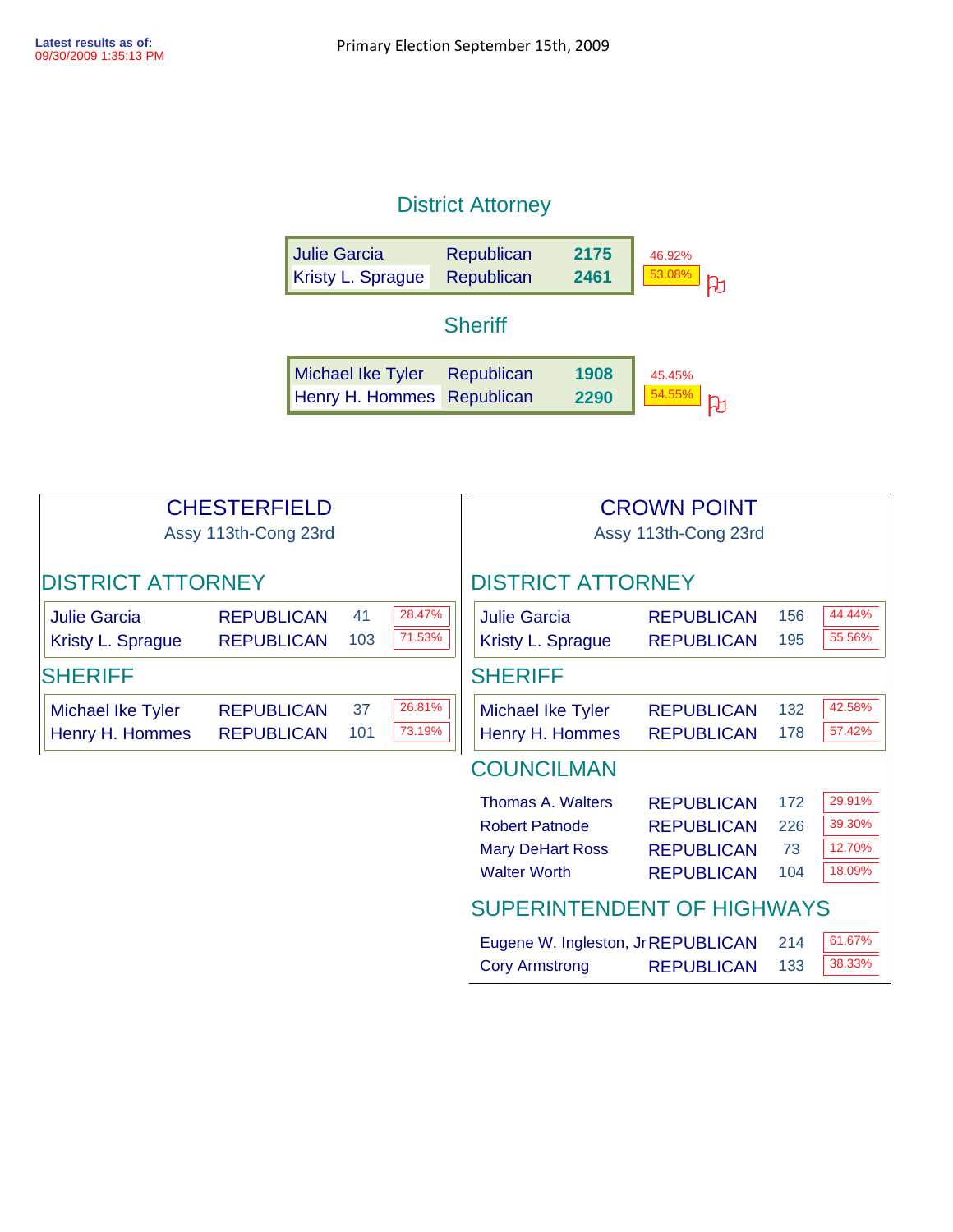## District Attorney

| <b>Julie Garcia</b>      | Republican     | 2175 | 46.92% |
|--------------------------|----------------|------|--------|
| Kristy L. Sprague        | Republican     | 2461 | 53.08% |
|                          | <b>Sheriff</b> |      |        |
| <b>Michael Ike Tyler</b> | Republican     | 1908 | 45.45% |
| Henry H. Hommes          | Republican     | 2290 | 54.55% |

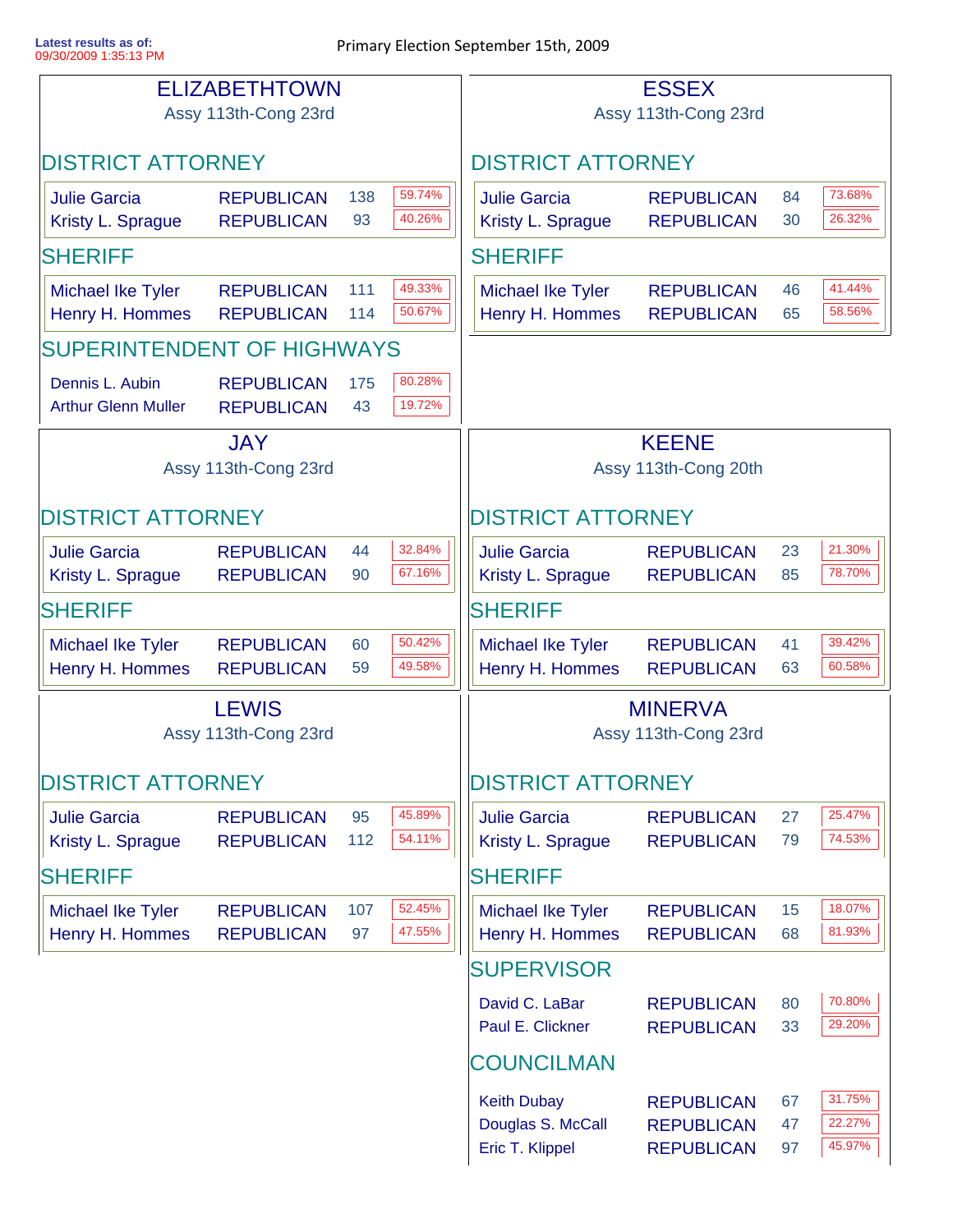|                                               | <b>ELIZABETHTOWN</b><br>Assy 113th-Cong 23rd |                          |                                        |                                             | <b>ESSEX</b><br>Assy 113th-Cong 23rd   |          |                  |
|-----------------------------------------------|----------------------------------------------|--------------------------|----------------------------------------|---------------------------------------------|----------------------------------------|----------|------------------|
| <b>DISTRICT ATTORNEY</b>                      |                                              |                          |                                        | <b>DISTRICT ATTORNEY</b>                    |                                        |          |                  |
|                                               |                                              |                          | 59.74%                                 |                                             |                                        |          | 73.68%           |
| <b>Julie Garcia</b><br>Kristy L. Sprague      | <b>REPUBLICAN</b><br><b>REPUBLICAN</b>       | 138<br>93                | 40.26%                                 | <b>Julie Garcia</b><br>Kristy L. Sprague    | <b>REPUBLICAN</b><br><b>REPUBLICAN</b> | 84<br>30 | 26.32%           |
| <b>SHERIFF</b>                                |                                              |                          |                                        | <b>SHERIFF</b>                              |                                        |          |                  |
| <b>Michael Ike Tyler</b>                      | <b>REPUBLICAN</b>                            | 111                      | 49.33%                                 | Michael Ike Tyler                           | <b>REPUBLICAN</b>                      | 46       | 41.44%           |
| Henry H. Hommes                               | <b>REPUBLICAN</b>                            | 114                      | 50.67%                                 | Henry H. Hommes                             | <b>REPUBLICAN</b>                      | 65       | 58.56%           |
| SUPERINTENDENT OF HIGHWAYS                    |                                              |                          |                                        |                                             |                                        |          |                  |
| Dennis L. Aubin<br><b>Arthur Glenn Muller</b> | <b>REPUBLICAN</b><br><b>REPUBLICAN</b>       | 175<br>43                | 80.28%<br>19.72%                       |                                             |                                        |          |                  |
| <b>JAY</b><br>Assy 113th-Cong 23rd            |                                              |                          | <b>KEENE</b><br>Assy 113th-Cong 20th   |                                             |                                        |          |                  |
| <b>DISTRICT ATTORNEY</b>                      |                                              |                          |                                        | <b>DISTRICT ATTORNEY</b>                    |                                        |          |                  |
| <b>Julie Garcia</b><br>Kristy L. Sprague      | <b>REPUBLICAN</b><br><b>REPUBLICAN</b>       | 44<br>90                 | 32.84%<br>67.16%                       | <b>Julie Garcia</b><br>Kristy L. Sprague    | <b>REPUBLICAN</b><br><b>REPUBLICAN</b> | 23<br>85 | 21.30%<br>78.70% |
| <b>SHERIFF</b>                                |                                              | <b>SHERIFF</b>           |                                        |                                             |                                        |          |                  |
| Michael Ike Tyler<br>Henry H. Hommes          | <b>REPUBLICAN</b><br><b>REPUBLICAN</b>       | 60<br>59                 | 50.42%<br>49.58%                       | <b>Michael Ike Tyler</b><br>Henry H. Hommes | <b>REPUBLICAN</b><br><b>REPUBLICAN</b> | 41<br>63 | 39.42%<br>60.58% |
| <b>LEWIS</b><br>Assy 113th-Cong 23rd          |                                              |                          | <b>MINERVA</b><br>Assy 113th-Cong 23rd |                                             |                                        |          |                  |
| <b>DISTRICT ATTORNEY</b>                      |                                              | <b>DISTRICT ATTORNEY</b> |                                        |                                             |                                        |          |                  |
| <b>Julie Garcia</b><br>Kristy L. Sprague      | <b>REPUBLICAN</b><br><b>REPUBLICAN</b>       | 95<br>112                | 45.89%<br>54.11%                       | <b>Julie Garcia</b><br>Kristy L. Sprague    | <b>REPUBLICAN</b><br><b>REPUBLICAN</b> | 27<br>79 | 25.47%<br>74.53% |
| <b>SHERIFF</b>                                |                                              |                          |                                        | <b>SHERIFF</b>                              |                                        |          |                  |
| <b>Michael Ike Tyler</b>                      | <b>REPUBLICAN</b>                            | 107                      | 52.45%                                 | <b>Michael Ike Tyler</b>                    | <b>REPUBLICAN</b>                      | 15       | 18.07%           |
| Henry H. Hommes                               | <b>REPUBLICAN</b>                            | 97                       | 47.55%                                 | Henry H. Hommes                             | <b>REPUBLICAN</b>                      | 68       | 81.93%           |
|                                               |                                              |                          |                                        | <b>SUPERVISOR</b>                           |                                        |          |                  |
|                                               |                                              |                          |                                        | David C. LaBar<br>Paul E. Clickner          | <b>REPUBLICAN</b><br><b>REPUBLICAN</b> | 80<br>33 | 70.80%<br>29.20% |
|                                               |                                              |                          |                                        | <b>COUNCILMAN</b>                           |                                        |          |                  |
|                                               |                                              |                          |                                        | <b>Keith Dubay</b>                          | <b>REPUBLICAN</b>                      | 67       | 31.75%           |
|                                               |                                              |                          |                                        | Douglas S. McCall                           | <b>REPUBLICAN</b>                      | 47       | 22.27%           |
|                                               |                                              |                          |                                        | Eric T. Klippel                             | <b>REPUBLICAN</b>                      | 97       | 45.97%           |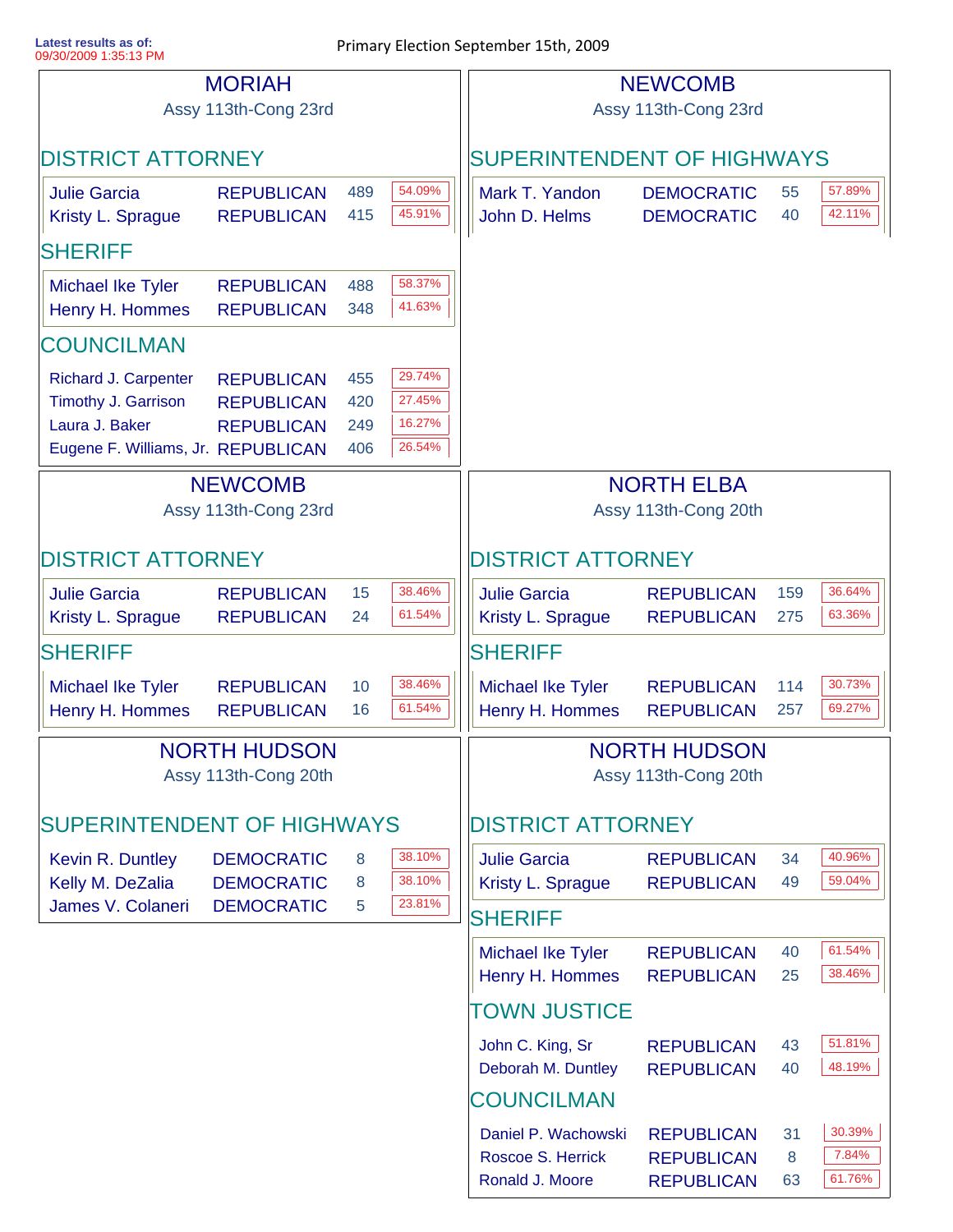**Latest results as of:**

| <b>MORIAH</b>                      |                      |     | <b>NEWCOMB</b>                    |                                     |                   |     |        |
|------------------------------------|----------------------|-----|-----------------------------------|-------------------------------------|-------------------|-----|--------|
| Assy 113th-Cong 23rd               |                      |     | Assy 113th-Cong 23rd              |                                     |                   |     |        |
|                                    |                      |     |                                   |                                     |                   |     |        |
| <b>DISTRICT ATTORNEY</b>           |                      |     | <b>SUPERINTENDENT OF HIGHWAYS</b> |                                     |                   |     |        |
| <b>Julie Garcia</b>                | <b>REPUBLICAN</b>    | 489 | 54.09%                            | Mark T. Yandon<br><b>DEMOCRATIC</b> |                   | 55  | 57.89% |
| Kristy L. Sprague                  | <b>REPUBLICAN</b>    | 415 | 45.91%                            | John D. Helms                       | <b>DEMOCRATIC</b> | 40  | 42.11% |
| <b>SHERIFF</b>                     |                      |     |                                   |                                     |                   |     |        |
| Michael Ike Tyler                  | <b>REPUBLICAN</b>    | 488 | 58.37%                            |                                     |                   |     |        |
| Henry H. Hommes                    | <b>REPUBLICAN</b>    | 348 | 41.63%                            |                                     |                   |     |        |
| <b>COUNCILMAN</b>                  |                      |     |                                   |                                     |                   |     |        |
| Richard J. Carpenter               | <b>REPUBLICAN</b>    | 455 | 29.74%                            |                                     |                   |     |        |
| Timothy J. Garrison                | <b>REPUBLICAN</b>    | 420 | 27.45%                            |                                     |                   |     |        |
| Laura J. Baker                     | <b>REPUBLICAN</b>    | 249 | 16.27%                            |                                     |                   |     |        |
| Eugene F. Williams, Jr. REPUBLICAN |                      | 406 | 26.54%                            |                                     |                   |     |        |
|                                    | <b>NEWCOMB</b>       |     |                                   |                                     | <b>NORTH ELBA</b> |     |        |
|                                    | Assy 113th-Cong 23rd |     |                                   | Assy 113th-Cong 20th                |                   |     |        |
|                                    |                      |     |                                   |                                     |                   |     |        |
| <b>DISTRICT ATTORNEY</b>           |                      |     |                                   | <b>DISTRICT ATTORNEY</b>            |                   |     |        |
| <b>Julie Garcia</b>                | <b>REPUBLICAN</b>    | 15  | 38.46%                            | <b>Julie Garcia</b>                 | <b>REPUBLICAN</b> | 159 | 36.64% |
| Kristy L. Sprague                  | <b>REPUBLICAN</b>    | 24  | 61.54%                            | Kristy L. Sprague                   | <b>REPUBLICAN</b> | 275 | 63.36% |
| <b>SHERIFF</b>                     |                      |     |                                   | <b>SHERIFF</b>                      |                   |     |        |
| Michael Ike Tyler                  | <b>REPUBLICAN</b>    | 10  | 38.46%                            | <b>Michael Ike Tyler</b>            | <b>REPUBLICAN</b> | 114 | 30.73% |
| Henry H. Hommes                    | <b>REPUBLICAN</b>    | 16  | 61.54%                            | Henry H. Hommes                     | <b>REPUBLICAN</b> | 257 | 69.27% |
| <b>NORTH HUDSON</b>                |                      |     |                                   | <b>NORTH HUDSON</b>                 |                   |     |        |
| Assy 113th-Cong 20th               |                      |     | Assy 113th-Cong 20th              |                                     |                   |     |        |
|                                    |                      |     |                                   |                                     |                   |     |        |
| <b>SUPERINTENDENT OF HIGHWAYS</b>  |                      |     |                                   | <b>DISTRICT ATTORNEY</b>            |                   |     |        |
| Kevin R. Duntley                   | <b>DEMOCRATIC</b>    | 8   | 38.10%                            | <b>Julie Garcia</b>                 | <b>REPUBLICAN</b> | 34  | 40.96% |
| Kelly M. DeZalia                   | <b>DEMOCRATIC</b>    | 8   | 38.10%                            | Kristy L. Sprague                   | <b>REPUBLICAN</b> | 49  | 59.04% |
| James V. Colaneri                  | <b>DEMOCRATIC</b>    | 5   | 23.81%                            | <b>SHERIFF</b>                      |                   |     |        |
|                                    |                      |     |                                   | <b>Michael Ike Tyler</b>            | <b>REPUBLICAN</b> | 40  | 61.54% |
|                                    |                      |     |                                   | Henry H. Hommes                     | <b>REPUBLICAN</b> | 25  | 38.46% |
|                                    |                      |     |                                   | <b>TOWN JUSTICE</b>                 |                   |     |        |
|                                    |                      |     |                                   | John C. King, Sr                    | <b>REPUBLICAN</b> | 43  | 51.81% |
|                                    |                      |     |                                   | Deborah M. Duntley                  | <b>REPUBLICAN</b> | 40  | 48.19% |
|                                    |                      |     |                                   | <b>COUNCILMAN</b>                   |                   |     |        |
|                                    |                      |     |                                   | Daniel P. Wachowski                 | <b>REPUBLICAN</b> | 31  | 30.39% |
|                                    |                      |     |                                   | Roscoe S. Herrick                   | <b>REPUBLICAN</b> | 8   | 7.84%  |
|                                    |                      |     |                                   | Ronald J. Moore                     | <b>REPUBLICAN</b> | 63  | 61.76% |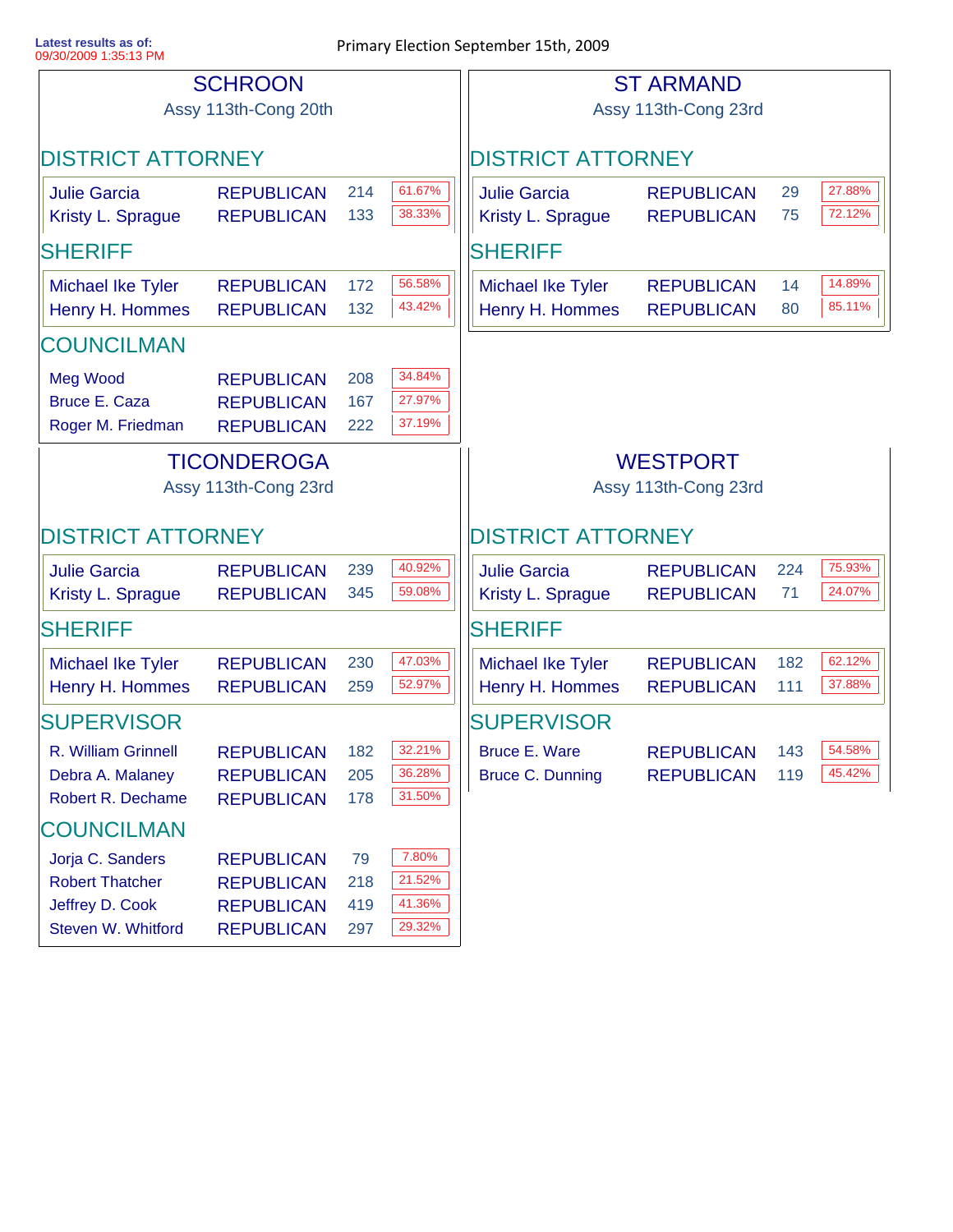**Latest results as of:**

|                                                                                     | <b>SCHROON</b><br>Assy 113th-Cong 20th                                           |                         |                                         |                                                 | <b>ST ARMAND</b><br>Assy 113th-Cong 23rd |            |                  |
|-------------------------------------------------------------------------------------|----------------------------------------------------------------------------------|-------------------------|-----------------------------------------|-------------------------------------------------|------------------------------------------|------------|------------------|
| <b>DISTRICT ATTORNEY</b>                                                            |                                                                                  |                         |                                         | <b>DISTRICT ATTORNEY</b>                        |                                          |            |                  |
| <b>Julie Garcia</b><br>Kristy L. Sprague                                            | <b>REPUBLICAN</b><br><b>REPUBLICAN</b>                                           | 214<br>133              | 61.67%<br>38.33%                        | <b>Julie Garcia</b><br>Kristy L. Sprague        | <b>REPUBLICAN</b><br><b>REPUBLICAN</b>   | 29<br>75   | 27.88%<br>72.12% |
| <b>SHERIFF</b>                                                                      |                                                                                  |                         |                                         | <b>SHERIFF</b>                                  |                                          |            |                  |
| <b>Michael Ike Tyler</b><br>Henry H. Hommes                                         | <b>REPUBLICAN</b><br><b>REPUBLICAN</b>                                           | 172<br>132              | 56.58%<br>43.42%                        | <b>Michael Ike Tyler</b><br>Henry H. Hommes     | <b>REPUBLICAN</b><br><b>REPUBLICAN</b>   | 14<br>80   | 14.89%<br>85.11% |
| <b>COUNCILMAN</b>                                                                   |                                                                                  |                         |                                         |                                                 |                                          |            |                  |
| <b>Meg Wood</b><br><b>Bruce E. Caza</b><br>Roger M. Friedman                        | <b>REPUBLICAN</b><br><b>REPUBLICAN</b><br><b>REPUBLICAN</b>                      | 208<br>167<br>222       | 34.84%<br>27.97%<br>37.19%              |                                                 |                                          |            |                  |
| <b>TICONDEROGA</b><br>Assy 113th-Cong 23rd                                          |                                                                                  |                         | <b>WESTPORT</b><br>Assy 113th-Cong 23rd |                                                 |                                          |            |                  |
| <b>DISTRICT ATTORNEY</b>                                                            |                                                                                  |                         |                                         | <b>DISTRICT ATTORNEY</b>                        |                                          |            |                  |
| <b>Julie Garcia</b><br>Kristy L. Sprague                                            | <b>REPUBLICAN</b><br><b>REPUBLICAN</b>                                           | 239<br>345              | 40.92%<br>59.08%                        | <b>Julie Garcia</b><br>Kristy L. Sprague        | <b>REPUBLICAN</b><br><b>REPUBLICAN</b>   | 224<br>71  | 75.93%<br>24.07% |
| <b>SHERIFF</b>                                                                      |                                                                                  |                         |                                         | <b>SHERIFF</b>                                  |                                          |            |                  |
| <b>Michael Ike Tyler</b><br>Henry H. Hommes                                         | <b>REPUBLICAN</b><br><b>REPUBLICAN</b>                                           | 230<br>259              | 47.03%<br>52.97%                        | <b>Michael Ike Tyler</b><br>Henry H. Hommes     | <b>REPUBLICAN</b><br><b>REPUBLICAN</b>   | 182<br>111 | 62.12%<br>37.88% |
| <b>SUPERVISOR</b>                                                                   |                                                                                  |                         |                                         | <b>SUPERVISOR</b>                               |                                          |            |                  |
| R. William Grinnell<br>Debra A. Malaney<br>Robert R. Dechame                        | <b>REPUBLICAN</b><br><b>REPUBLICAN</b><br><b>REPUBLICAN</b>                      | 182<br>205<br>178       | 32.21%<br>36.28%<br>31.50%              | <b>Bruce E. Ware</b><br><b>Bruce C. Dunning</b> | <b>REPUBLICAN</b><br><b>REPUBLICAN</b>   | 143<br>119 | 54.58%<br>45.42% |
| <b>COUNCILMAN</b>                                                                   |                                                                                  |                         |                                         |                                                 |                                          |            |                  |
| Jorja C. Sanders<br><b>Robert Thatcher</b><br>Jeffrey D. Cook<br>Steven W. Whitford | <b>REPUBLICAN</b><br><b>REPUBLICAN</b><br><b>REPUBLICAN</b><br><b>REPUBLICAN</b> | 79<br>218<br>419<br>297 | 7.80%<br>21.52%<br>41.36%<br>29.32%     |                                                 |                                          |            |                  |